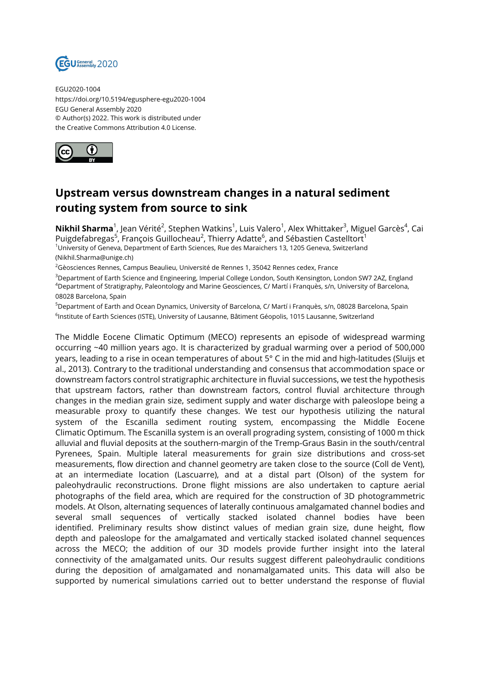

EGU2020-1004 https://doi.org/10.5194/egusphere-egu2020-1004 EGU General Assembly 2020 © Author(s) 2022. This work is distributed under the Creative Commons Attribution 4.0 License.



## **Upstream versus downstream changes in a natural sediment routing system from source to sink**

**Nikhil Sharma**<sup>1</sup>, Jean Vérité<sup>2</sup>, Stephen Watkins<sup>1</sup>, Luis Valero<sup>1</sup>, Alex Whittaker<sup>3</sup>, Miguel Garcès<sup>4</sup>, Cai Puigdefabregas<sup>5</sup>, François Guillocheau<sup>2</sup>, Thierry Adatte<sup>6</sup>, and Sébastien Castelltort<sup>1</sup> <sup>1</sup>University of Geneva, Department of Earth Sciences, Rue des Maraichers 13, 1205 Geneva, Switzerland (Nikhil.Sharma@unige.ch)

 $26$ èosciences Rennes, Campus Beaulieu, Université de Rennes 1, 35042 Rennes cedex, France

<sup>3</sup>Department of Earth Science and Engineering, Imperial College London, South Kensington, London SW7 2AZ, England <sup>4</sup>Department of Stratigraphy, Paleontology and Marine Geosciences, C/ Martí i Franquès, s/n, University of Barcelona, 08028 Barcelona, Spain

<sup>5</sup>Department of Earth and Ocean Dynamics, University of Barcelona, C/ Martí i Franquès, s/n, 08028 Barcelona, Spain <sup>6</sup>lnstitute of Earth Sciences (ISTE), University of Lausanne, Bâtiment Géopolis, 1015 Lausanne, Switzerland

The Middle Eocene Climatic Optimum (MECO) represents an episode of widespread warming occurring ~40 million years ago. It is characterized by gradual warming over a period of 500,000 years, leading to a rise in ocean temperatures of about 5° C in the mid and high-latitudes (Sluijs et al., 2013). Contrary to the traditional understanding and consensus that accommodation space or downstream factors control stratigraphic architecture in fluvial successions, we test the hypothesis that upstream factors, rather than downstream factors, control fluvial architecture through changes in the median grain size, sediment supply and water discharge with paleoslope being a measurable proxy to quantify these changes. We test our hypothesis utilizing the natural system of the Escanilla sediment routing system, encompassing the Middle Eocene Climatic Optimum. The Escanilla system is an overall prograding system, consisting of 1000 m thick alluvial and fluvial deposits at the southern-margin of the Tremp-Graus Basin in the south/central Pyrenees, Spain. Multiple lateral measurements for grain size distributions and cross-set measurements, flow direction and channel geometry are taken close to the source (Coll de Vent), at an intermediate location (Lascuarre), and at a distal part (Olson) of the system for paleohydraulic reconstructions. Drone flight missions are also undertaken to capture aerial photographs of the field area, which are required for the construction of 3D photogrammetric models. At Olson, alternating sequences of laterally continuous amalgamated channel bodies and several small sequences of vertically stacked isolated channel bodies have been identified. Preliminary results show distinct values of median grain size, dune height, flow depth and paleoslope for the amalgamated and vertically stacked isolated channel sequences across the MECO; the addition of our 3D models provide further insight into the lateral connectivity of the amalgamated units. Our results suggest different paleohydraulic conditions during the deposition of amalgamated and nonamalgamated units. This data will also be supported by numerical simulations carried out to better understand the response of fluvial